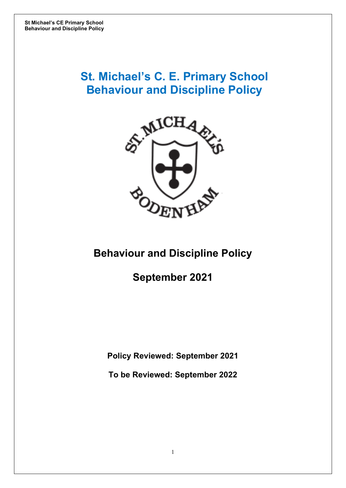# **St. Michael's C. E. Primary School Behaviour and Discipline Policy**



## **Behaviour and Discipline Policy**

## **September 2021**

**Policy Reviewed: September 2021**

**To be Reviewed: September 2022**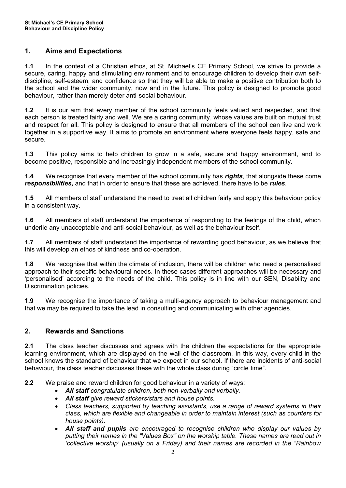## **1. Aims and Expectations**

**1.1** In the context of a Christian ethos, at St. Michael's CE Primary School, we strive to provide a secure, caring, happy and stimulating environment and to encourage children to develop their own selfdiscipline, self-esteem, and confidence so that they will be able to make a positive contribution both to the school and the wider community, now and in the future. This policy is designed to promote good behaviour, rather than merely deter anti-social behaviour.

**1.2** It is our aim that every member of the school community feels valued and respected, and that each person is treated fairly and well. We are a caring community, whose values are built on mutual trust and respect for all. This policy is designed to ensure that all members of the school can live and work together in a supportive way. It aims to promote an environment where everyone feels happy, safe and secure.

**1.3** This policy aims to help children to grow in a safe, secure and happy environment, and to become positive, responsible and increasingly independent members of the school community.

**1.4** We recognise that every member of the school community has *rights*, that alongside these come *responsibilities,* and that in order to ensure that these are achieved, there have to be *rules*.

**1.5** All members of staff understand the need to treat all children fairly and apply this behaviour policy in a consistent way.

**1.6** All members of staff understand the importance of responding to the feelings of the child, which underlie any unacceptable and anti-social behaviour, as well as the behaviour itself.

**1.7** All members of staff understand the importance of rewarding good behaviour, as we believe that this will develop an ethos of kindness and co-operation.

**1.8** We recognise that within the climate of inclusion, there will be children who need a personalised approach to their specific behavioural needs. In these cases different approaches will be necessary and 'personalised' according to the needs of the child. This policy is in line with our SEN, Disability and Discrimination policies.

**1.9** We recognise the importance of taking a multi-agency approach to behaviour management and that we may be required to take the lead in consulting and communicating with other agencies.

## **2. Rewards and Sanctions**

**2.1** The class teacher discusses and agrees with the children the expectations for the appropriate learning environment, which are displayed on the wall of the classroom. In this way, every child in the school knows the standard of behaviour that we expect in our school. If there are incidents of anti-social behaviour, the class teacher discusses these with the whole class during "circle time".

**2.2** We praise and reward children for good behaviour in a variety of ways:

- *All staff congratulate children, both non-verbally and verbally.*
- *All staff give reward stickers/stars and house points.*
- *Class teachers, supported by teaching assistants, use a range of reward systems in their class, which are flexible and changeable in order to maintain interest (such as counters for house points).*
- *All staff and pupils are encouraged to recognise children who display our values by putting their names in the "Values Box" on the worship table. These names are read out in 'collective worship' (usually on a Friday) and their names are recorded in the "Rainbow*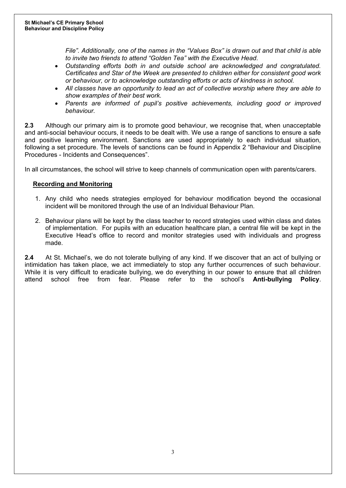*File". Additionally, one of the names in the "Values Box" is drawn out and that child is able to invite two friends to attend "Golden Tea" with the Executive Head.*

- *Outstanding efforts both in and outside school are acknowledged and congratulated. Certificates and Star of the Week are presented to children either for consistent good work or behaviour, or to acknowledge outstanding efforts or acts of kindness in school.*
- *All classes have an opportunity to lead an act of collective worship where they are able to show examples of their best work.*
- *Parents are informed of pupil's positive achievements, including good or improved behaviour.*

**2.3** Although our primary aim is to promote good behaviour, we recognise that, when unacceptable and anti-social behaviour occurs, it needs to be dealt with. We use a range of sanctions to ensure a safe and positive learning environment. Sanctions are used appropriately to each individual situation, following a set procedure. The levels of sanctions can be found in Appendix 2 "Behaviour and Discipline Procedures - Incidents and Consequences".

In all circumstances, the school will strive to keep channels of communication open with parents/carers.

#### **Recording and Monitoring**

- 1. Any child who needs strategies employed for behaviour modification beyond the occasional incident will be monitored through the use of an Individual Behaviour Plan.
- 2. Behaviour plans will be kept by the class teacher to record strategies used within class and dates of implementation. For pupils with an education healthcare plan, a central file will be kept in the Executive Head's office to record and monitor strategies used with individuals and progress made.

**2.4** At St. Michael's, we do not tolerate bullying of any kind. If we discover that an act of bullying or intimidation has taken place, we act immediately to stop any further occurrences of such behaviour. While it is very difficult to eradicate bullying, we do everything in our power to ensure that all children attend school free from fear. Please refer to the school's **Anti-bullying Policy**.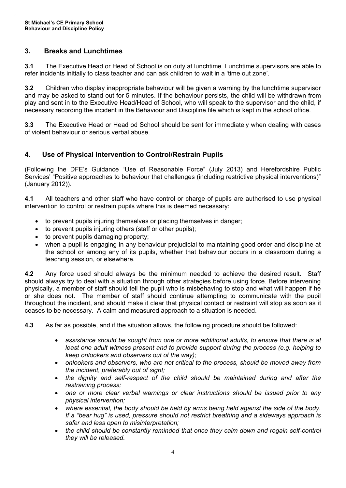## **3. Breaks and Lunchtimes**

**3.1** The Executive Head or Head of School is on duty at lunchtime. Lunchtime supervisors are able to refer incidents initially to class teacher and can ask children to wait in a 'time out zone'.

**3.2** Children who display inappropriate behaviour will be given a warning by the lunchtime supervisor and may be asked to stand out for 5 minutes. If the behaviour persists, the child will be withdrawn from play and sent in to the Executive Head/Head of School, who will speak to the supervisor and the child, if necessary recording the incident in the Behaviour and Discipline file which is kept in the school office.

**3.3** The Executive Head or Head od School should be sent for immediately when dealing with cases of violent behaviour or serious verbal abuse.

## **4. Use of Physical Intervention to Control/Restrain Pupils**

(Following the DFE's Guidance "Use of Reasonable Force" (July 2013) and Herefordshire Public Services' "Positive approaches to behaviour that challenges (including restrictive physical interventions)" (January 2012)).

**4.1** All teachers and other staff who have control or charge of pupils are authorised to use physical intervention to control or restrain pupils where this is deemed necessary:

- to prevent pupils injuring themselves or placing themselves in danger;
- to prevent pupils injuring others (staff or other pupils);
- to prevent pupils damaging property;
- when a pupil is engaging in any behaviour prejudicial to maintaining good order and discipline at the school or among any of its pupils, whether that behaviour occurs in a classroom during a teaching session, or elsewhere.

**4.2** Any force used should always be the minimum needed to achieve the desired result. Staff should always try to deal with a situation through other strategies before using force. Before intervening physically, a member of staff should tell the pupil who is misbehaving to stop and what will happen if he or she does not. The member of staff should continue attempting to communicate with the pupil throughout the incident, and should make it clear that physical contact or restraint will stop as soon as it ceases to be necessary. A calm and measured approach to a situation is needed.

**4.3** As far as possible, and if the situation allows, the following procedure should be followed:

- *assistance should be sought from one or more additional adults, to ensure that there is at least one adult witness present and to provide support during the process (e.g. helping to keep onlookers and observers out of the way);*
- *onlookers and observers, who are not critical to the process, should be moved away from the incident, preferably out of sight;*
- *the dignity and self-respect of the child should be maintained during and after the restraining process;*
- *one or more clear verbal warnings or clear instructions should be issued prior to any physical intervention;*
- *where essential, the body should be held by arms being held against the side of the body. If a "bear hug" is used, pressure should not restrict breathing and a sideways approach is safer and less open to misinterpretation;*
- *the child should be constantly reminded that once they calm down and regain self-control they will be released.*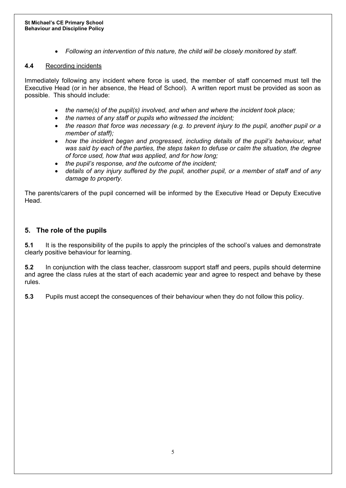• *Following an intervention of this nature, the child will be closely monitored by staff.*

#### **4.4** Recording incidents

Immediately following any incident where force is used, the member of staff concerned must tell the Executive Head (or in her absence, the Head of School). A written report must be provided as soon as possible. This should include:

- *the name(s) of the pupil(s) involved, and when and where the incident took place;*
- *the names of any staff or pupils who witnessed the incident;*
- *the reason that force was necessary (e.g. to prevent injury to the pupil, another pupil or a member of staff);*
- *how the incident began and progressed, including details of the pupil's behaviour, what was said by each of the parties, the steps taken to defuse or calm the situation, the degree of force used, how that was applied, and for how long;*
- *the pupil's response, and the outcome of the incident;*
- *details of any injury suffered by the pupil, another pupil, or a member of staff and of any damage to property.*

The parents/carers of the pupil concerned will be informed by the Executive Head or Deputy Executive Head.

## **5. The role of the pupils**

**5.1** It is the responsibility of the pupils to apply the principles of the school's values and demonstrate clearly positive behaviour for learning.

**5.2** In conjunction with the class teacher, classroom support staff and peers, pupils should determine and agree the class rules at the start of each academic year and agree to respect and behave by these rules.

**5.3** Pupils must accept the consequences of their behaviour when they do not follow this policy.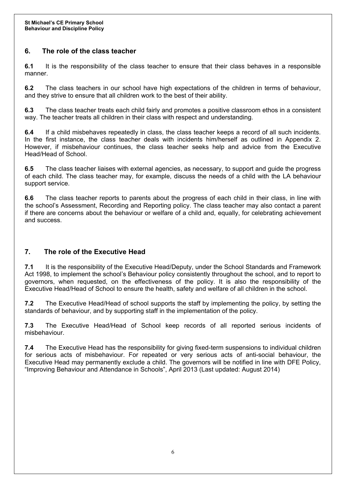## **6. The role of the class teacher**

**6.1** It is the responsibility of the class teacher to ensure that their class behaves in a responsible manner.

**6.2** The class teachers in our school have high expectations of the children in terms of behaviour, and they strive to ensure that all children work to the best of their ability.

**6.3** The class teacher treats each child fairly and promotes a positive classroom ethos in a consistent way. The teacher treats all children in their class with respect and understanding.

**6.4** If a child misbehaves repeatedly in class, the class teacher keeps a record of all such incidents. In the first instance, the class teacher deals with incidents him/herself as outlined in Appendix 2. However, if misbehaviour continues, the class teacher seeks help and advice from the Executive Head/Head of School.

**6.5** The class teacher liaises with external agencies, as necessary, to support and guide the progress of each child. The class teacher may, for example, discuss the needs of a child with the LA behaviour support service.

**6.6** The class teacher reports to parents about the progress of each child in their class, in line with the school's Assessment, Recording and Reporting policy. The class teacher may also contact a parent if there are concerns about the behaviour or welfare of a child and, equally, for celebrating achievement and success.

#### **7. The role of the Executive Head**

**7.1** It is the responsibility of the Executive Head/Deputy, under the School Standards and Framework Act 1998, to implement the school's Behaviour policy consistently throughout the school, and to report to governors, when requested, on the effectiveness of the policy. It is also the responsibility of the Executive Head/Head of School to ensure the health, safety and welfare of all children in the school.

**7.2** The Executive Head/Head of school supports the staff by implementing the policy, by setting the standards of behaviour, and by supporting staff in the implementation of the policy.

**7.3** The Executive Head/Head of School keep records of all reported serious incidents of misbehaviour.

**7.4** The Executive Head has the responsibility for giving fixed-term suspensions to individual children for serious acts of misbehaviour. For repeated or very serious acts of anti-social behaviour, the Executive Head may permanently exclude a child. The governors will be notified in line with DFE Policy, "Improving Behaviour and Attendance in Schools", April 2013 (Last updated: August 2014)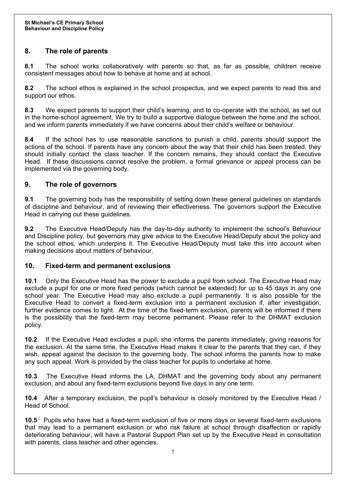## **8. The role of parents**

**8.1** The school works collaboratively with parents so that, as far as possible, children receive consistent messages about how to behave at home and at school.

**8.2** The school ethos is explained in the school prospectus, and we expect parents to read this and support our ethos.

**8.3** We expect parents to support their child's learning, and to co-operate with the school, as set out in the home-school agreement. We try to build a supportive dialogue between the home and the school, and we inform parents immediately if we have concerns about their child's welfare or behaviour.

**8.4** If the school has to use reasonable sanctions to punish a child, parents should support the actions of the school. If parents have any concern about the way that their child has been treated, they should initially contact the class teacher. If the concern remains, they should contact the Executive Head. If these discussions cannot resolve the problem, a formal grievance or appeal process can be implemented via the governing body.

## **9. The role of governors**

**9.1** The governing body has the responsibility of setting down these general guidelines on standards of discipline and behaviour, and of reviewing their effectiveness. The governors support the Executive Head in carrying out these guidelines.

**9.2** The Executive Head/Deputy has the day-to-day authority to implement the school's Behaviour and Discipline policy, but governors may give advice to the Executive Head/Deputy about the policy and the school ethos, which underpins it. The Executive Head/Deputy must take this into account when making decisions about matters of behaviour.

#### **10. Fixed-term and permanent exclusions**

**10.1** Only the Executive Head has the power to exclude a pupil from school. The Executive Head may exclude a pupil for one or more fixed periods (which cannot be extended) for up to 45 days in any one school year. The Executive Head may also exclude a pupil permanently. It is also possible for the Executive Head to convert a fixed-term exclusion into a permanent exclusion if, after investigation, further evidence comes to light. At the time of the fixed-term exclusion, parents will be informed if there is the possibility that the fixed-term may become permanent. Please refer to the DHMAT exclusion policy.

**10.2** If the Executive Head excludes a pupil, she informs the parents immediately, giving reasons for the exclusion. At the same time, the Executive Head makes it clear to the parents that they can, if they wish, appeal against the decision to the governing body. The school informs the parents how to make any such appeal. Work is provided by the class teacher for pupils to undertake at home.

**10.3** The Executive Head informs the LA, DHMAT and the governing body about any permanent exclusion, and about any fixed-term exclusions beyond five days in any one term.

**10.4** After a temporary exclusion, the pupil's behaviour is closely monitored by the Executive Head / Head of School.

**10.5** Pupils who have had a fixed-term exclusion of five or more days or several fixed-term exclusions that may lead to a permanent exclusion or who risk failure at school through disaffection or rapidly deteriorating behaviour, will have a Pastoral Support Plan set up by the Executive Head in consultation with parents, class teacher and other agencies.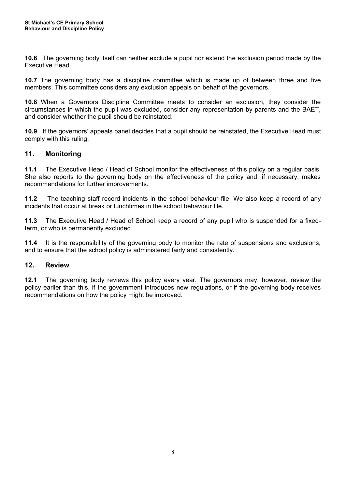**10.6** The governing body itself can neither exclude a pupil nor extend the exclusion period made by the Executive Head.

**10.7** The governing body has a discipline committee which is made up of between three and five members. This committee considers any exclusion appeals on behalf of the governors.

**10.8** When a Governors Discipline Committee meets to consider an exclusion, they consider the circumstances in which the pupil was excluded, consider any representation by parents and the BAET, and consider whether the pupil should be reinstated.

**10.9** If the governors' appeals panel decides that a pupil should be reinstated, the Executive Head must comply with this ruling.

#### **11. Monitoring**

**11.1** The Executive Head / Head of School monitor the effectiveness of this policy on a regular basis. She also reports to the governing body on the effectiveness of the policy and, if necessary, makes recommendations for further improvements.

**11.2** The teaching staff record incidents in the school behaviour file. We also keep a record of any incidents that occur at break or lunchtimes in the school behaviour file.

**11.3** The Executive Head / Head of School keep a record of any pupil who is suspended for a fixedterm, or who is permanently excluded.

**11.4** It is the responsibility of the governing body to monitor the rate of suspensions and exclusions, and to ensure that the school policy is administered fairly and consistently.

#### **12. Review**

**12.1** The governing body reviews this policy every year. The governors may, however, review the policy earlier than this, if the government introduces new regulations, or if the governing body receives recommendations on how the policy might be improved.